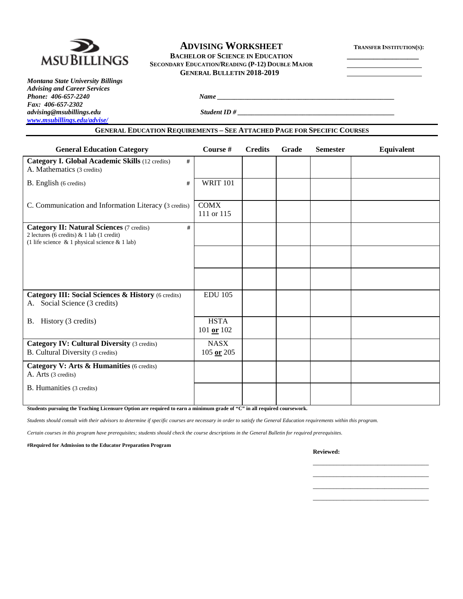

# **ADVISING WORKSHEET TRANSFER INSTITUTION(S):**

**BACHELOR OF SCIENCE IN EDUCATION SECONDARY EDUCATION/READING (P-12) DOUBLE MAJOR GENERAL BULLETIN 2018-2019**

*Montana State University Billings Advising and Career Services Fax: 406-657-2302 [www.msubillings.edu/advise/](http://www.msubillings.edu/advise/)*

*advising@msubillings.edu Student ID # \_\_\_\_\_\_\_\_\_\_\_\_\_\_\_\_\_\_\_\_\_\_\_\_\_\_\_\_\_\_\_\_\_\_\_\_\_\_\_\_\_\_\_\_\_\_*

### **GENERAL EDUCATION REQUIREMENTS – SEE ATTACHED PAGE FOR SPECIFIC COURSES**

*Phone: 406-657-2240 Name \_\_\_\_\_\_\_\_\_\_\_\_\_\_\_\_\_\_\_\_\_\_\_\_\_\_\_\_\_\_\_\_\_\_\_\_\_\_\_\_\_\_\_\_\_\_\_\_\_\_\_\_*

| <b>General Education Category</b>                                                                                                                         | Course #                      | <b>Credits</b> | Grade | <b>Semester</b> | Equivalent |
|-----------------------------------------------------------------------------------------------------------------------------------------------------------|-------------------------------|----------------|-------|-----------------|------------|
| Category I. Global Academic Skills (12 credits)<br>#<br>A. Mathematics (3 credits)                                                                        |                               |                |       |                 |            |
| B. English (6 credits)<br>#                                                                                                                               | <b>WRIT 101</b>               |                |       |                 |            |
| C. Communication and Information Literacy (3 credits)                                                                                                     | <b>COMX</b><br>111 or 115     |                |       |                 |            |
| <b>Category II: Natural Sciences (7 credits)</b><br>#<br>2 lectures (6 credits) & 1 lab (1 credit)<br>(1 life science $\&$ 1 physical science $\&$ 1 lab) |                               |                |       |                 |            |
|                                                                                                                                                           |                               |                |       |                 |            |
|                                                                                                                                                           |                               |                |       |                 |            |
| Category III: Social Sciences & History (6 credits)<br>Social Science (3 credits)<br>А.                                                                   | <b>EDU 105</b>                |                |       |                 |            |
| B. History (3 credits)                                                                                                                                    | <b>HSTA</b><br>$101$ or $102$ |                |       |                 |            |
| <b>Category IV: Cultural Diversity (3 credits)</b><br>B. Cultural Diversity (3 credits)                                                                   | <b>NASX</b><br>$105$ or $205$ |                |       |                 |            |
| Category V: Arts & Humanities (6 credits)<br>A. Arts (3 credits)                                                                                          |                               |                |       |                 |            |
| <b>B.</b> Humanities (3 credits)                                                                                                                          |                               |                |       |                 |            |

**Students pursuing the Teaching Licensure Option are required to earn a minimum grade of "C" in all required coursework.**

*Students should consult with their advisors to determine if specific courses are necessary in order to satisfy the General Education requirements within this program.*

*Certain courses in this program have prerequisites; students should check the course descriptions in the General Bulletin for required prerequisites.*

**#Required for Admission to the Educator Preparation Program**

**Reviewed:**

\_\_\_\_\_\_\_\_\_\_\_\_\_\_\_\_\_\_\_\_\_\_\_\_\_\_\_\_\_\_\_\_\_\_ \_\_\_\_\_\_\_\_\_\_\_\_\_\_\_\_\_\_\_\_\_\_\_\_\_\_\_\_\_\_\_\_\_\_ \_\_\_\_\_\_\_\_\_\_\_\_\_\_\_\_\_\_\_\_\_\_\_\_\_\_\_\_\_\_\_\_\_\_ \_\_\_\_\_\_\_\_\_\_\_\_\_\_\_\_\_\_\_\_\_\_\_\_\_\_\_\_\_\_\_\_\_\_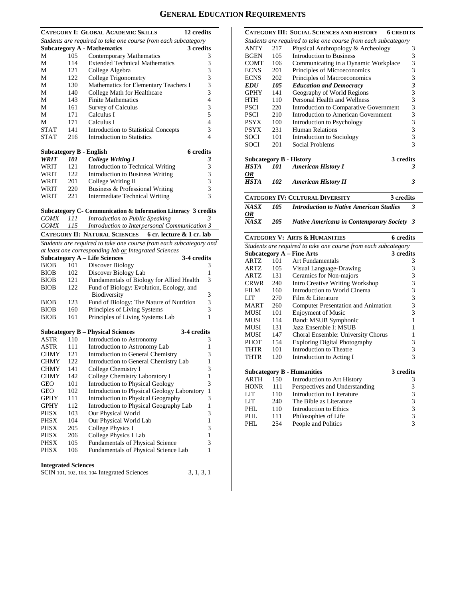# **GENERAL EDUCATION REQUIREMENTS**

|                         |     | <b>CATEGORY I: GLOBAL ACADEMIC SKILLS</b>                                                                    | 12 credits       |
|-------------------------|-----|--------------------------------------------------------------------------------------------------------------|------------------|
|                         |     | Students are required to take one course from each subcategory                                               |                  |
|                         |     | <b>Subcategory A - Mathematics</b>                                                                           | 3 credits        |
| М                       | 105 | Contemporary Mathematics                                                                                     | 3                |
| М                       | 114 | <b>Extended Technical Mathematics</b>                                                                        | 3                |
| М                       | 121 | College Algebra                                                                                              | 3                |
| М                       | 122 | College Trigonometry                                                                                         | 3                |
| М                       | 130 | Mathematics for Elementary Teachers I                                                                        | 3                |
| М                       | 140 | College Math for Healthcare                                                                                  | 3                |
| М                       | 143 | <b>Finite Mathematics</b>                                                                                    | 4                |
| М                       | 161 | <b>Survey of Calculus</b>                                                                                    | 3                |
| М                       | 171 | Calculus I                                                                                                   | 5                |
| М                       | 171 | Calculus I                                                                                                   | 4                |
| <b>STAT</b>             | 141 | <b>Introduction to Statistical Concepts</b>                                                                  | 3                |
| <b>STAT</b>             | 216 | <b>Introduction to Statistics</b>                                                                            | 4                |
|                         |     |                                                                                                              |                  |
| Subcategory B - English |     |                                                                                                              | <b>6</b> credits |
| WRIT                    | 101 | <b>College Writing I</b>                                                                                     | 3                |
| WRIT                    | 121 | Introduction to Technical Writing                                                                            | 3                |
| WRIT                    | 122 | Introduction to Business Writing                                                                             | 3                |
| WRIT                    | 201 | College Writing II                                                                                           | 3                |
| WRIT                    | 220 | Business & Professional Writing                                                                              | 3                |
| WRIT                    | 221 | <b>Intermediate Technical Writing</b>                                                                        | 3                |
|                         |     |                                                                                                              |                  |
| <i>COMX</i>             | 111 | Subcategory C- Communication & Information Literacy 3 credits<br>Introduction to Public Speaking             |                  |
| <i>COMX</i>             | 115 | Introduction to Interpersonal Communication 3                                                                |                  |
|                         |     |                                                                                                              |                  |
|                         |     | <b>CATEGORY II: NATURAL SCIENCES</b><br>6 cr. lecture & 1 cr. lab                                            |                  |
|                         |     | Students are required to take one course from each subcategory and                                           |                  |
|                         |     | at least one corresponding lab or Integrated Sciences<br><b>Subcategory A - Life Sciences</b><br>3-4 credits |                  |
| <b>BIOB</b>             | 101 | Discover Biology                                                                                             | 3                |
| <b>BIOB</b>             | 102 | Discover Biology Lab                                                                                         | 1                |
| <b>BIOB</b>             | 121 | Fundamentals of Biology for Allied Health                                                                    | 3                |
| <b>BIOB</b>             | 122 | Fund of Biology: Evolution, Ecology, and                                                                     |                  |
|                         |     | <b>Biodiversity</b>                                                                                          | 3                |
| <b>BIOB</b>             | 123 | Fund of Biology: The Nature of Nutrition                                                                     | 3                |
| <b>BIOB</b>             | 160 | Principles of Living Systems                                                                                 | 3                |
| <b>BIOB</b>             | 161 | Principles of Living Systems Lab                                                                             | 1                |
|                         |     |                                                                                                              |                  |
|                         |     | 3-4 credits<br><b>Subcategory B – Physical Sciences</b>                                                      |                  |
| ASTR                    | 110 | Introduction to Astronomy                                                                                    | 3                |
| ASTR                    | 111 | Introduction to Astronomy Lab                                                                                | 1                |
| <b>CHMY</b>             | 121 | <b>Introduction to General Chemistry</b>                                                                     | 3                |
| CHMY                    | 122 | Introduction to General Chemistry Lab                                                                        | 1                |
| <b>CHMY</b>             | 141 | College Chemistry I                                                                                          | 3                |
| CHMY                    | 142 | College Chemistry Laboratory I                                                                               | $\mathbf{1}$     |
| GEO                     | 101 | <b>Introduction to Physical Geology</b>                                                                      | 3                |
| GEO                     | 102 | Introduction to Physical Geology Laboratory                                                                  | $\mathbf{1}$     |
| GPHY                    | 111 | Introduction to Physical Geography                                                                           | 3                |
| GPHY                    | 112 | Introduction to Physical Geography Lab                                                                       | 1                |
| PHSX                    |     |                                                                                                              | 3                |
| PHSX                    | 103 | Our Physical World                                                                                           |                  |
|                         | 104 | Our Physical World Lab                                                                                       | $\mathbf{1}$     |
| PHSX                    | 205 | College Physics I                                                                                            | 3                |
| PHSX                    | 206 | College Physics I Lab                                                                                        | 1                |
| PHSX                    | 105 | <b>Fundamentals of Physical Science</b>                                                                      | 3                |
| PHSX                    | 106 | Fundamentals of Physical Science Lab                                                                         | 1                |

| SCIN 101, 102, 103, 104 Integrated Sciences | 3, 1, 3, 1 |
|---------------------------------------------|------------|
|---------------------------------------------|------------|

|                   |            | <b>CATEGORY III: SOCIAL SCIENCES AND HISTORY</b><br><b>6 CREDITS</b>   |                                                              |
|-------------------|------------|------------------------------------------------------------------------|--------------------------------------------------------------|
|                   |            | Students are required to take one course from each subcategory         |                                                              |
| ANTY              | 217        | Physical Anthropology & Archeology                                     | 3                                                            |
| <b>BGEN</b>       | 105        | <b>Introduction to Business</b>                                        | 3                                                            |
| <b>COMT</b>       | 106        | Communicating in a Dynamic Workplace                                   | 3                                                            |
| <b>ECNS</b>       | 201        | Principles of Microeconomics                                           | 3                                                            |
| <b>ECNS</b>       | 202        | Principles of Macroeconomics                                           | $\overline{\mathbf{3}}$                                      |
| <b>EDU</b>        | 105        | <b>Education and Democracy</b>                                         | $\overline{\mathbf{3}}$                                      |
| <b>GPHY</b>       | 141        | Geography of World Regions                                             | $\overline{3}$                                               |
| HTH               | 110        | Personal Health and Wellness                                           | 3                                                            |
| <b>PSCI</b>       | 220        | Introduction to Comparative Government                                 | 3                                                            |
| <b>PSCI</b>       | 210        | Introduction to American Government                                    | 3                                                            |
| <b>PSYX</b>       | 100        | Introduction to Psychology                                             | 3                                                            |
| <b>PSYX</b>       | 231        | Human Relations                                                        | 3                                                            |
| SOCI              | 101        | Introduction to Sociology                                              | 3                                                            |
| SOCI              | 201        | Social Problems                                                        | 3                                                            |
|                   |            |                                                                        |                                                              |
|                   |            | 3 credits<br><b>Subcategory B - History</b>                            |                                                              |
| <b>HSTA</b>       | 101        | <b>American History I</b>                                              | 3                                                            |
| OR                |            |                                                                        |                                                              |
| <b>HSTA</b>       | 102        | <b>American History II</b>                                             | 3                                                            |
|                   |            |                                                                        |                                                              |
|                   |            | <b>CATEGORY IV: CULTURAL DIVERSITY</b><br>3 credits                    |                                                              |
| <b>NASX</b>       | 105        | <b>Introduction to Native American Studies</b>                         | 3                                                            |
| 0R<br><b>NASX</b> | 205        |                                                                        |                                                              |
|                   |            | <b>Native Americans in Contemporary Society</b>                        | 3                                                            |
|                   |            |                                                                        |                                                              |
|                   |            | <b>CATEGORY V: ARTS &amp; HUMANITIES</b><br>6 credits                  |                                                              |
|                   |            | Students are required to take one course from each subcategory         |                                                              |
|                   |            | <b>Subcategory A - Fine Arts</b><br>3 credits                          |                                                              |
| ARTZ              | 101        | <b>Art Fundamentals</b>                                                | 3                                                            |
| ARTZ              | 105        |                                                                        |                                                              |
| ARTZ              | 131        | Visual Language-Drawing                                                | 3                                                            |
| <b>CRWR</b>       | 240        | Ceramics for Non-majors                                                | 3                                                            |
| <b>FILM</b>       | 160        | <b>Intro Creative Writing Workshop</b><br>Introduction to World Cinema | 3                                                            |
| LIT               | 270        | Film & Literature                                                      | 3                                                            |
| MART              | 260        | <b>Computer Presentation and Animation</b>                             | 3                                                            |
| MUSI              | 101        |                                                                        | 3<br>3                                                       |
| MUSI              | 114        | <b>Enjoyment of Music</b>                                              | $\mathbf{1}$                                                 |
| MUSI              | 131        | <b>Band: MSUB Symphonic</b><br>Jazz Ensemble I: MSUB                   | $\mathbf{1}$                                                 |
| MUSI              | 147        |                                                                        | 1                                                            |
| PHOT              | 154        | Choral Ensemble: University Chorus                                     | 3                                                            |
| <b>THTR</b>       | 101        | <b>Exploring Digital Photography</b><br>Introduction to Theatre        | 3                                                            |
| <b>THTR</b>       | 120        | Introduction to Acting I                                               | 3                                                            |
|                   |            |                                                                        |                                                              |
|                   |            | 3 credits<br><b>Subcategory B - Humanities</b>                         |                                                              |
| ARTH              | 150        | Introduction to Art History                                            | 3                                                            |
| <b>HONR</b>       | 111        | Perspectives and Understanding                                         | 3                                                            |
| LIT               | 110        | Introduction to Literature                                             |                                                              |
| LIT               | 240        | The Bible as Literature                                                |                                                              |
| PHL               | 110        | Introduction to Ethics                                                 |                                                              |
| PHL<br>PHL        | 111<br>254 | Philosophies of Life<br>People and Politics                            | $\begin{array}{c} 3 \\ 3 \\ 3 \end{array}$<br>$\overline{3}$ |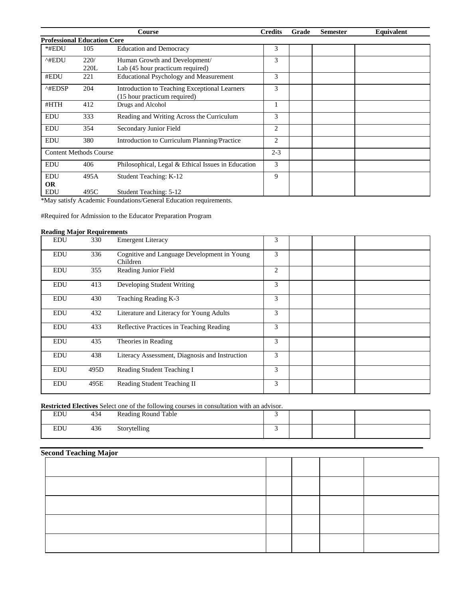|                                    |      | Course                                             | <b>Credits</b> | Grade | <b>Semester</b> | Equivalent |
|------------------------------------|------|----------------------------------------------------|----------------|-------|-----------------|------------|
| <b>Professional Education Core</b> |      |                                                    |                |       |                 |            |
| *#EDU                              | 105  | <b>Education and Democracy</b>                     | 3              |       |                 |            |
| ^#EDU                              | 220/ | Human Growth and Development/                      | 3              |       |                 |            |
|                                    | 220L | Lab (45 hour practicum required)                   |                |       |                 |            |
| #EDU                               | 221  | <b>Educational Psychology and Measurement</b>      | 3              |       |                 |            |
| ^#EDSP                             | 204  | Introduction to Teaching Exceptional Learners      | 3              |       |                 |            |
|                                    |      | (15 hour practicum required)                       |                |       |                 |            |
| #HTH                               | 412  | Drugs and Alcohol                                  |                |       |                 |            |
| <b>EDU</b>                         | 333  | Reading and Writing Across the Curriculum          | 3              |       |                 |            |
| <b>EDU</b>                         | 354  | Secondary Junior Field                             | $\overline{2}$ |       |                 |            |
| <b>EDU</b>                         | 380  | Introduction to Curriculum Planning/Practice       | $\overline{2}$ |       |                 |            |
| <b>Content Methods Course</b>      |      |                                                    | $2 - 3$        |       |                 |            |
| <b>EDU</b>                         | 406  | Philosophical, Legal & Ethical Issues in Education | 3              |       |                 |            |
| <b>EDU</b>                         | 495A | Student Teaching: K-12                             | 9              |       |                 |            |
| <b>OR</b>                          |      |                                                    |                |       |                 |            |
| <b>EDU</b>                         | 495C | Student Teaching: 5-12                             |                |       |                 |            |

\*May satisfy Academic Foundations/General Education requirements.

#Required for Admission to the Educator Preparation Program

### **Reading Major Requirements**

| <b>EDU</b> | 330  | <b>Emergent Literacy</b>                                | 3 |  |  |
|------------|------|---------------------------------------------------------|---|--|--|
| <b>EDU</b> | 336  | Cognitive and Language Development in Young<br>Children | 3 |  |  |
| <b>EDU</b> | 355  | Reading Junior Field                                    | 2 |  |  |
| <b>EDU</b> | 413  | Developing Student Writing                              | 3 |  |  |
| EDU        | 430  | Teaching Reading K-3                                    | 3 |  |  |
| <b>EDU</b> | 432  | Literature and Literacy for Young Adults                | 3 |  |  |
| <b>EDU</b> | 433  | Reflective Practices in Teaching Reading                | 3 |  |  |
| EDU        | 435  | Theories in Reading                                     | 3 |  |  |
| <b>EDU</b> | 438  | Literacy Assessment, Diagnosis and Instruction          | 3 |  |  |
| <b>EDU</b> | 495D | Reading Student Teaching I                              | 3 |  |  |
| <b>EDU</b> | 495E | Reading Student Teaching II                             | 3 |  |  |

**Restricted Electives** Select one of the following courses in consultation with an advisor.

| <b>DDI</b>     | $\Lambda$ $\Lambda$<br>434 | <b>Reading Round Table</b> |  |  |
|----------------|----------------------------|----------------------------|--|--|
| EDII<br>$\sim$ | 436                        | Storytelling               |  |  |

# **Second Teaching Major**